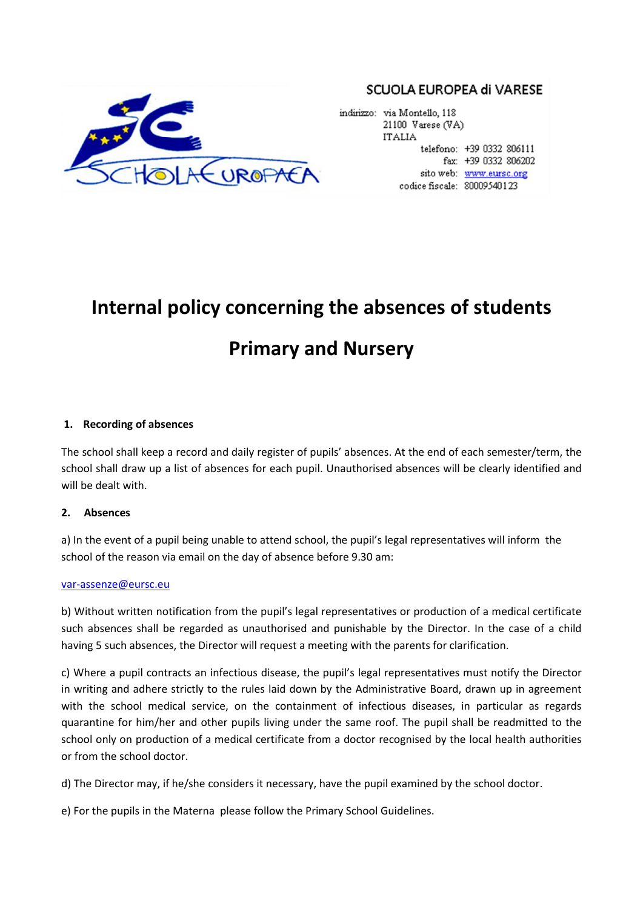

# SCUOLA EUROPEA di VARESE

indirizzo: via Montello, 118 21100 Varese (VA) **ITALIA** telefono: +39 0332 806111 fax: +39 0332 806202 sito web: www.eursc.org codice fiscale: 80009540123

# **Internal policy concerning the absences of students Primary and Nursery**

## **1. Recording of absences**

The school shall keep a record and daily register of pupils' absences. At the end of each semester/term, the school shall draw up a list of absences for each pupil. Unauthorised absences will be clearly identified and will be dealt with.

### **2. Absences**

a) In the event of a pupil being unable to attend school, the pupil's legal representatives will inform the school of the reason via email on the day of absence before 9.30 am:

#### var-assenze@eursc.eu

b) Without written notification from the pupil's legal representatives or production of a medical certificate such absences shall be regarded as unauthorised and punishable by the Director. In the case of a child having 5 such absences, the Director will request a meeting with the parents for clarification.

c) Where a pupil contracts an infectious disease, the pupil's legal representatives must notify the Director in writing and adhere strictly to the rules laid down by the Administrative Board, drawn up in agreement with the school medical service, on the containment of infectious diseases, in particular as regards quarantine for him/her and other pupils living under the same roof. The pupil shall be readmitted to the school only on production of a medical certificate from a doctor recognised by the local health authorities or from the school doctor.

d) The Director may, if he/she considers it necessary, have the pupil examined by the school doctor.

e) For the pupils in the Materna please follow the Primary School Guidelines.